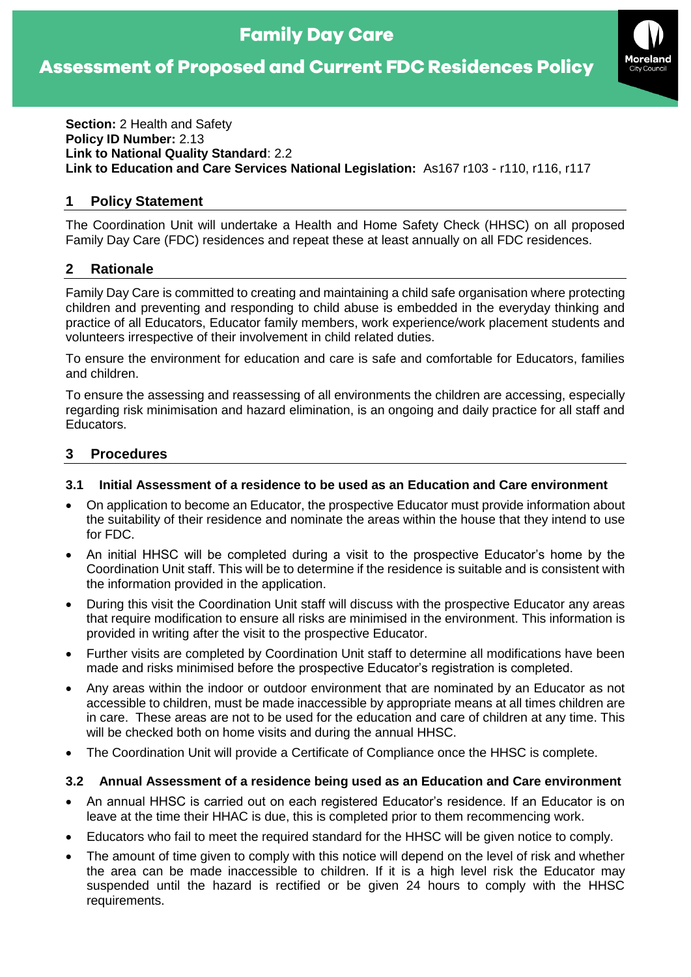# **Family Day Care**

# **Assessment of Proposed and Current FDC Residences Policy**



#### **Section:** 2 Health and Safety **Policy ID Number:** 2.13 **Link to National Quality Standard**: 2.2 **Link to Education and Care Services National Legislation:** As167 r103 - r110, r116, r117

### **1 Policy Statement**

The Coordination Unit will undertake a Health and Home Safety Check (HHSC) on all proposed Family Day Care (FDC) residences and repeat these at least annually on all FDC residences.

#### **2 Rationale**

Family Day Care is committed to creating and maintaining a child safe organisation where protecting children and preventing and responding to child abuse is embedded in the everyday thinking and practice of all Educators, Educator family members, work experience/work placement students and volunteers irrespective of their involvement in child related duties.

To ensure the environment for education and care is safe and comfortable for Educators, families and children.

To ensure the assessing and reassessing of all environments the children are accessing, especially regarding risk minimisation and hazard elimination, is an ongoing and daily practice for all staff and Educators.

#### **3 Procedures**

#### **3.1 Initial Assessment of a residence to be used as an Education and Care environment**

- On application to become an Educator, the prospective Educator must provide information about the suitability of their residence and nominate the areas within the house that they intend to use for FDC.
- An initial HHSC will be completed during a visit to the prospective Educator's home by the Coordination Unit staff. This will be to determine if the residence is suitable and is consistent with the information provided in the application.
- During this visit the Coordination Unit staff will discuss with the prospective Educator any areas that require modification to ensure all risks are minimised in the environment. This information is provided in writing after the visit to the prospective Educator.
- Further visits are completed by Coordination Unit staff to determine all modifications have been made and risks minimised before the prospective Educator's registration is completed.
- Any areas within the indoor or outdoor environment that are nominated by an Educator as not accessible to children, must be made inaccessible by appropriate means at all times children are in care. These areas are not to be used for the education and care of children at any time. This will be checked both on home visits and during the annual HHSC.
- The Coordination Unit will provide a Certificate of Compliance once the HHSC is complete.

#### **3.2 Annual Assessment of a residence being used as an Education and Care environment**

- An annual HHSC is carried out on each registered Educator's residence. If an Educator is on leave at the time their HHAC is due, this is completed prior to them recommencing work.
- Educators who fail to meet the required standard for the HHSC will be given notice to comply.
- The amount of time given to comply with this notice will depend on the level of risk and whether the area can be made inaccessible to children. If it is a high level risk the Educator may suspended until the hazard is rectified or be given 24 hours to comply with the HHSC requirements.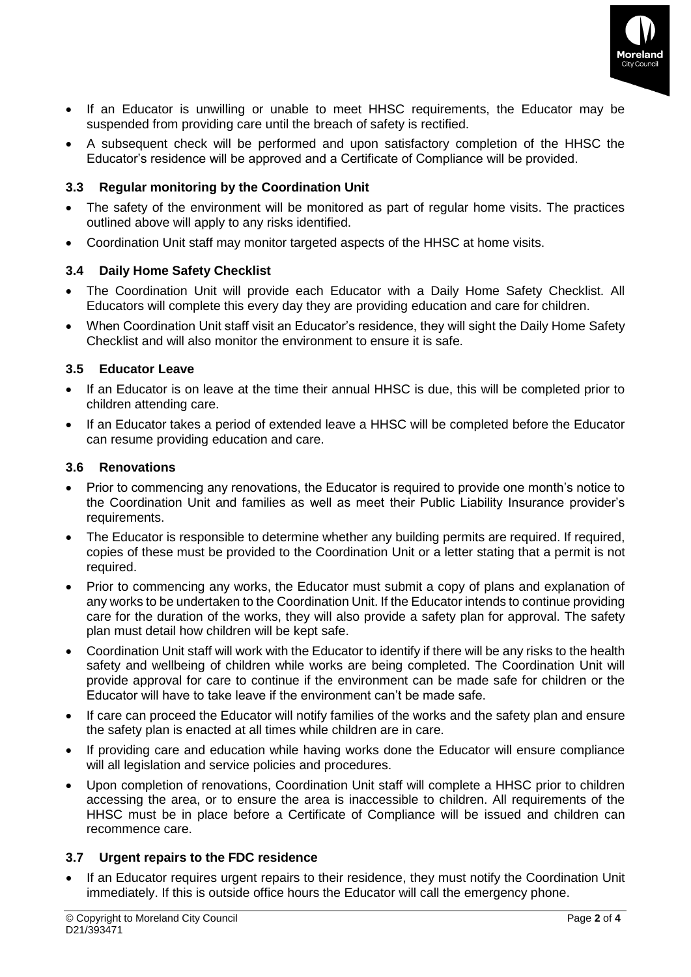

- If an Educator is unwilling or unable to meet HHSC requirements, the Educator may be suspended from providing care until the breach of safety is rectified.
- A subsequent check will be performed and upon satisfactory completion of the HHSC the Educator's residence will be approved and a Certificate of Compliance will be provided.

# **3.3 Regular monitoring by the Coordination Unit**

- The safety of the environment will be monitored as part of regular home visits. The practices outlined above will apply to any risks identified.
- Coordination Unit staff may monitor targeted aspects of the HHSC at home visits.

# **3.4 Daily Home Safety Checklist**

- The Coordination Unit will provide each Educator with a Daily Home Safety Checklist. All Educators will complete this every day they are providing education and care for children.
- When Coordination Unit staff visit an Educator's residence, they will sight the Daily Home Safety Checklist and will also monitor the environment to ensure it is safe.

# **3.5 Educator Leave**

- If an Educator is on leave at the time their annual HHSC is due, this will be completed prior to children attending care.
- If an Educator takes a period of extended leave a HHSC will be completed before the Educator can resume providing education and care.

#### **3.6 Renovations**

- Prior to commencing any renovations, the Educator is required to provide one month's notice to the Coordination Unit and families as well as meet their Public Liability Insurance provider's requirements.
- The Educator is responsible to determine whether any building permits are required. If required, copies of these must be provided to the Coordination Unit or a letter stating that a permit is not required.
- Prior to commencing any works, the Educator must submit a copy of plans and explanation of any works to be undertaken to the Coordination Unit. If the Educator intends to continue providing care for the duration of the works, they will also provide a safety plan for approval. The safety plan must detail how children will be kept safe.
- Coordination Unit staff will work with the Educator to identify if there will be any risks to the health safety and wellbeing of children while works are being completed. The Coordination Unit will provide approval for care to continue if the environment can be made safe for children or the Educator will have to take leave if the environment can't be made safe.
- If care can proceed the Educator will notify families of the works and the safety plan and ensure the safety plan is enacted at all times while children are in care.
- If providing care and education while having works done the Educator will ensure compliance will all legislation and service policies and procedures.
- Upon completion of renovations, Coordination Unit staff will complete a HHSC prior to children accessing the area, or to ensure the area is inaccessible to children. All requirements of the HHSC must be in place before a Certificate of Compliance will be issued and children can recommence care.

# **3.7 Urgent repairs to the FDC residence**

• If an Educator requires urgent repairs to their residence, they must notify the Coordination Unit immediately. If this is outside office hours the Educator will call the emergency phone.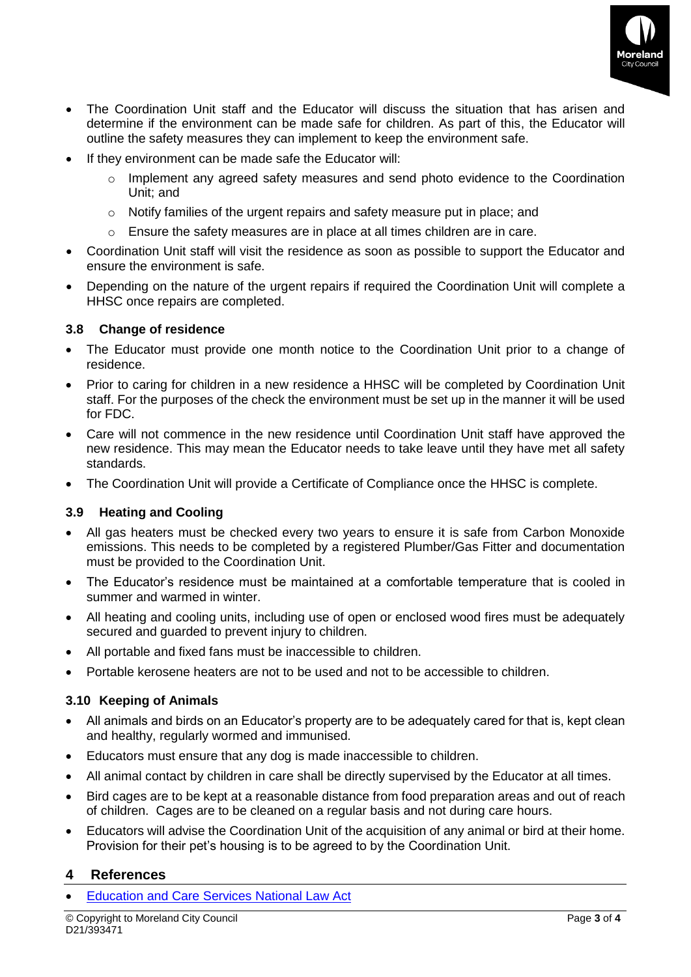

- The Coordination Unit staff and the Educator will discuss the situation that has arisen and determine if the environment can be made safe for children. As part of this, the Educator will outline the safety measures they can implement to keep the environment safe.
- If they environment can be made safe the Educator will:
	- Implement any agreed safety measures and send photo evidence to the Coordination Unit; and
	- o Notify families of the urgent repairs and safety measure put in place; and
	- $\circ$  Ensure the safety measures are in place at all times children are in care.
- Coordination Unit staff will visit the residence as soon as possible to support the Educator and ensure the environment is safe.
- Depending on the nature of the urgent repairs if required the Coordination Unit will complete a HHSC once repairs are completed.

#### **3.8 Change of residence**

- The Educator must provide one month notice to the Coordination Unit prior to a change of residence.
- Prior to caring for children in a new residence a HHSC will be completed by Coordination Unit staff. For the purposes of the check the environment must be set up in the manner it will be used for FDC.
- Care will not commence in the new residence until Coordination Unit staff have approved the new residence. This may mean the Educator needs to take leave until they have met all safety standards.
- The Coordination Unit will provide a Certificate of Compliance once the HHSC is complete.

# **3.9 Heating and Cooling**

- All gas heaters must be checked every two years to ensure it is safe from Carbon Monoxide emissions. This needs to be completed by a registered Plumber/Gas Fitter and documentation must be provided to the Coordination Unit.
- The Educator's residence must be maintained at a comfortable temperature that is cooled in summer and warmed in winter.
- All heating and cooling units, including use of open or enclosed wood fires must be adequately secured and guarded to prevent injury to children.
- All portable and fixed fans must be inaccessible to children.
- Portable kerosene heaters are not to be used and not to be accessible to children.

# **3.10 Keeping of Animals**

- All animals and birds on an Educator's property are to be adequately cared for that is, kept clean and healthy, regularly wormed and immunised.
- Educators must ensure that any dog is made inaccessible to children.
- All animal contact by children in care shall be directly supervised by the Educator at all times.
- Bird cages are to be kept at a reasonable distance from food preparation areas and out of reach of children. Cages are to be cleaned on a regular basis and not during care hours.
- Educators will advise the Coordination Unit of the acquisition of any animal or bird at their home. Provision for their pet's housing is to be agreed to by the Coordination Unit.

# **4 References**

• [Education and Care Services National Law Act](https://www.acecqa.gov.au/nqf/national-law-regulations/national-law)